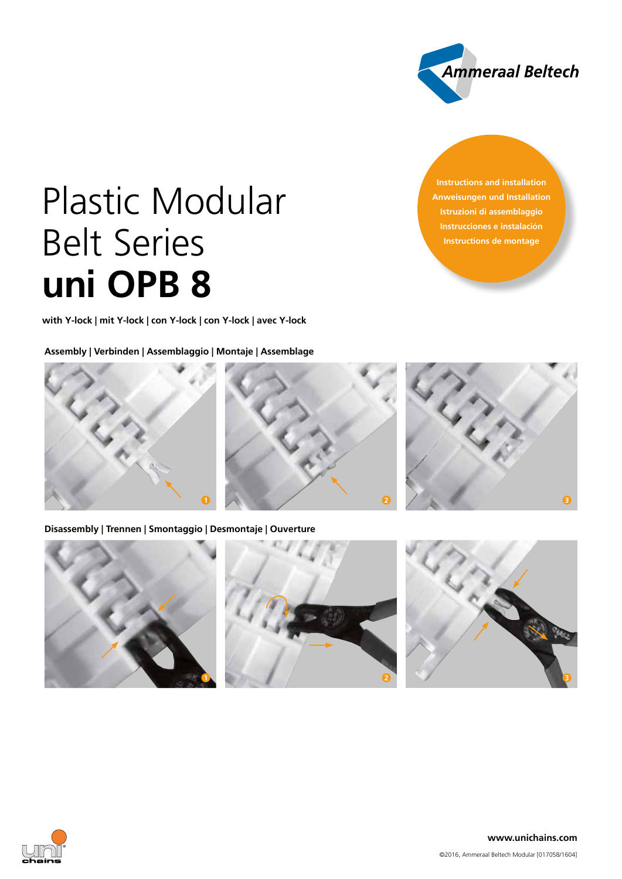

**Instructions and installation Anweisungen und Installation Istruzioni di assemblaggio Instrucciones e instalación Instructions de montage**

# Plastic Modular Belt Series **uni OPB 8**

**with Y-lock | mit Y-lock | con Y-lock | con Y-lock | avec Y-lock**

**Assembly | Verbinden | Assemblaggio | Montaje | Assemblage**



**Disassembly | Trennen | Smontaggio | Desmontaje | Ouverture**